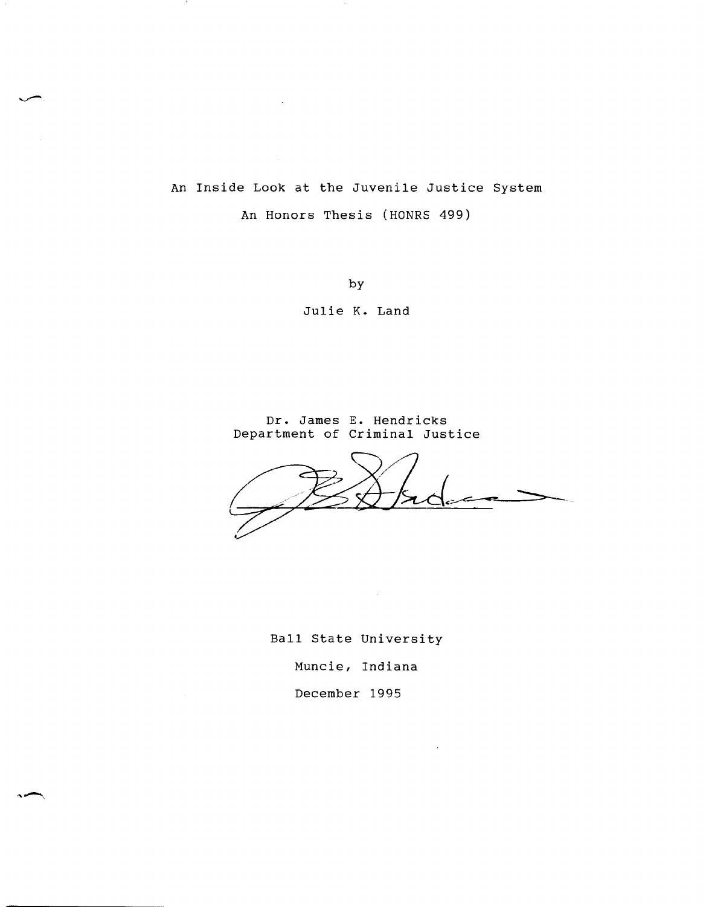An Inside Look at the Juvenile Justice System An Honors Thesis (HONRS 499)

 $\sim$ 

- 1

by

Julie K. Land

Dr. James E. Hendricks Department of Criminal Justice

 $\sim 10^7$ 

Ball State University

Muncie, Indiana

December 1995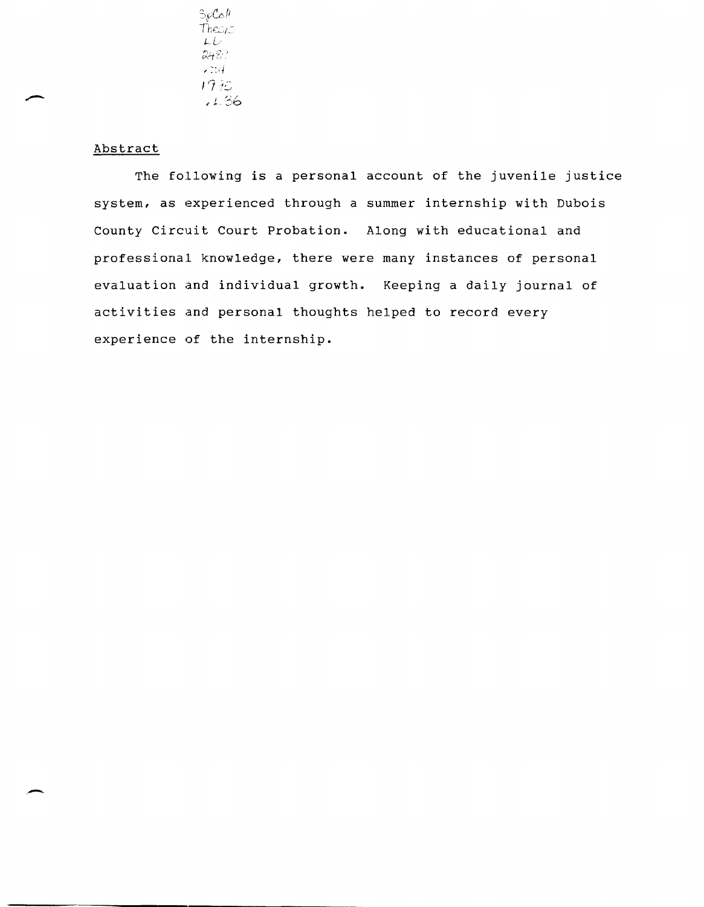$S_{\rho}C_{\rho}$ /1  $The <sub>1</sub>$ *t-L*   $\epsilon$  7.4 17:~  $.1.36$ 

## Abstract

The following is a personal account of the juvenile justice system, as experienced through a summer internship with Dubois county Circuit Court Probation. Along with educational and professional knowledge, there were many instances of personal evaluation and individual growth. Keeping a daily journal of activities and personal thoughts helped to record every experience of the internship.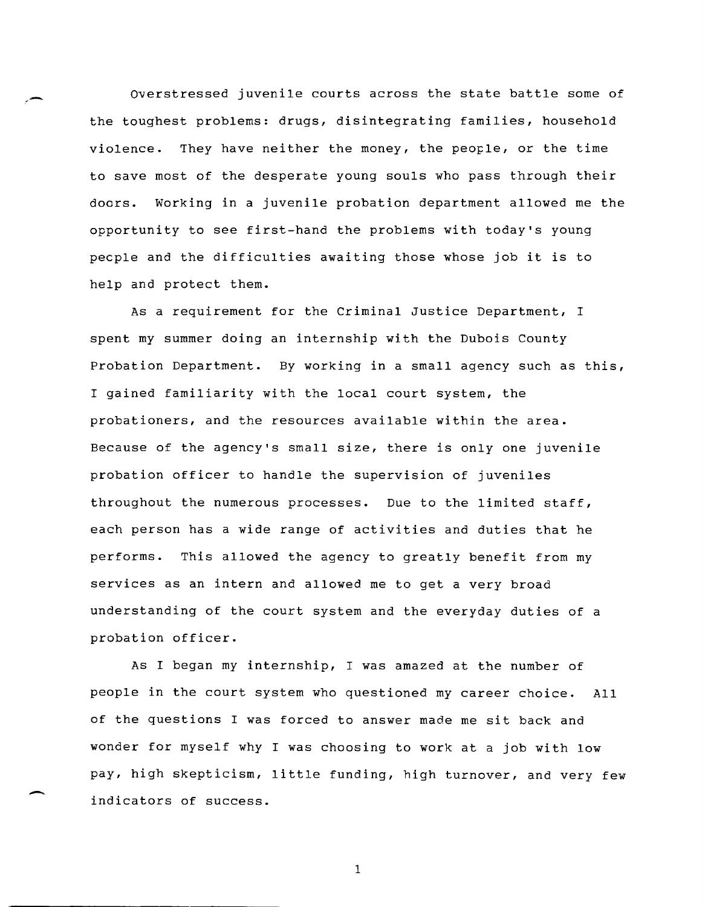Overstressed juvenile courts across the state battle some of the toughest problems: drugs, disintegrating families, household violence. They have neither the money, the people, or the time to save most of the desperate young souls who pass through their doors. Working in a juvenile probation department allowed me the opportunity to see first-hand the problems with today's young pecple and the difficulties awaiting those whose job it is to help and protect them.

As a requirement for the Criminal Justice Department, I spent my summer doing an internship with the Dubois County Probation Department. By working in a small agency such as this, I gained familiarity with the local court system, the probationers, and the resources available within the area. Because of the agency's small size, there is only one juvenile probation officer to handle the supervision of juveniles throughout the numerous processes. Due to the limited staff, each person has a wide range of activities and duties that he performs. This allowed the agency to greatly benefit from my services as an intern and allowed me to get a very broad understanding of the court system and the everyday duties of a probation officer.

As I began my internship, I was amazed at the number of people in the court system who questioned my career choice. All of the questions I was forced to answer made me sit back and wonder for myself why I was choosing to work at a job with low pay, high skepticism, little funding, high turnover, and very few indicators of success.

-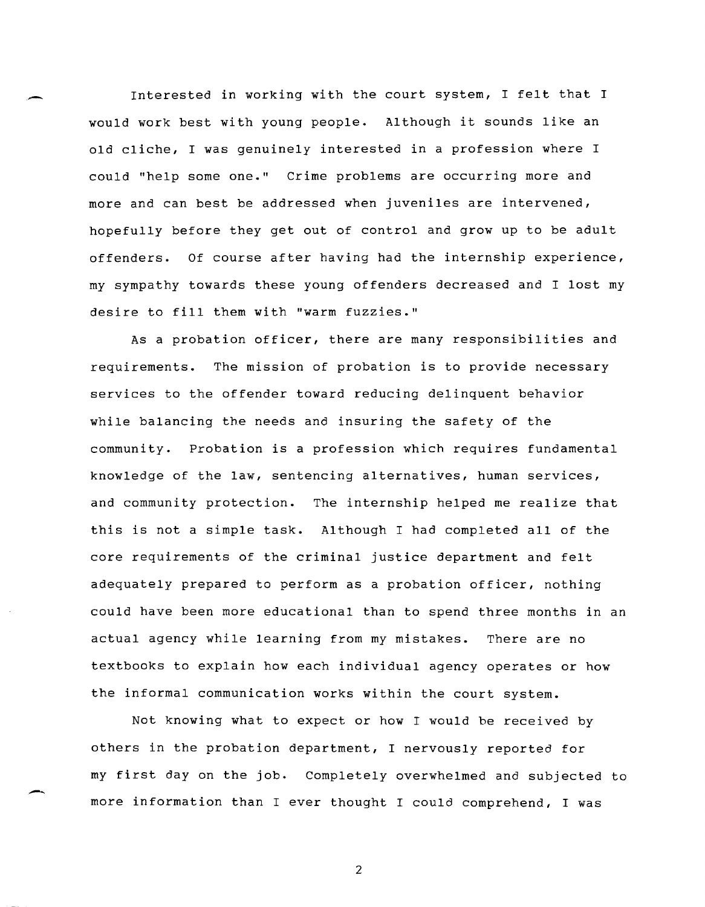Interested in working with the court system, I felt that I would work best with young people. Although it sounds like an old cliche, I was genuinely interested in a profession where I could "help some one." Crime problems are occurring more and more and can best be addressed when juveniles are intervened, hopefully before they get out of control and grow up to be adult offenders. Of course after having had the internship experience, my sympathy towards these young offenders decreased and I lost my desire to fill them with "warm fuzzies."

.-

-

As a probation officer, there are many responsibilities and requirements. The mission of probation is to provide necessary services to the offender toward reducing delinquent behavior while balancing the needs and insuring the safety of the community. Probation is a profession which requires fundamental knowledge of the law, sentencing alternatives, human services, and community protection. The internship helped me realize that this is not a simple task. Although I had completed all of the core requirements of the criminal justice department and felt adequately prepared to perform as a probation officer, nothing could have been more educational than to spend three months in an actual agency while learning from my mistakes. There are no textbooks to explain how each individual agency operates or how the informal communication works within the court system.

Not knowing what to expect or how I would be received by others in the probation department, I nervously reported for my first day on the job. Completely overwhelmed and subjected to more information than I ever thought I could comprehend, I was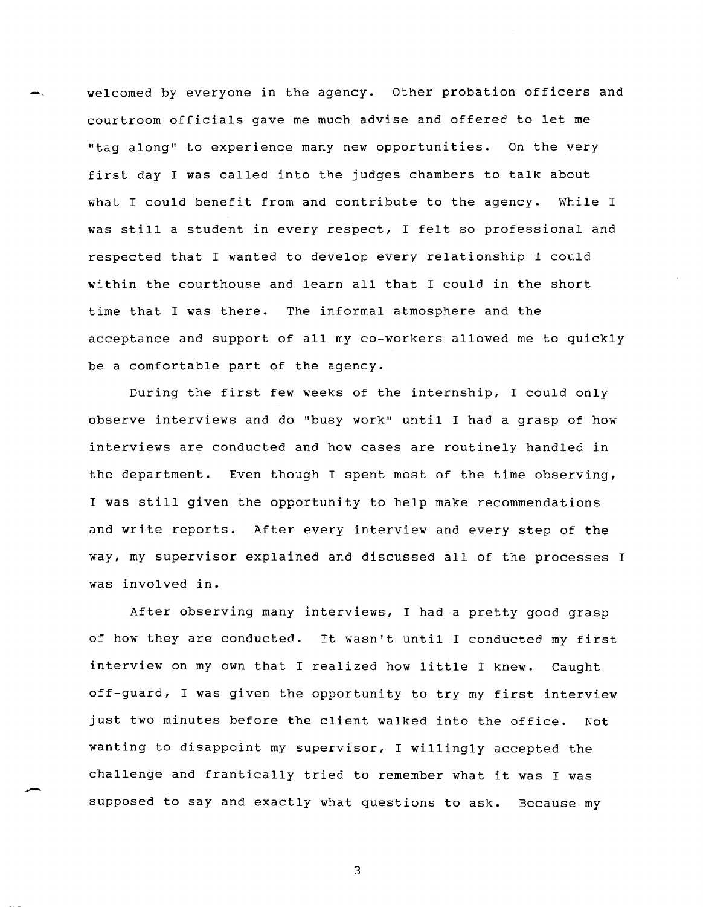welcomed by everyone in the agency. Other probation officers and courtroom officials gave me much advise and offered to let me "tag along" to experience many new opportunities. On the very first day I was called into the judges chambers to talk about what I could benefit from and contribute to the agency. While I was still a student in every respect, I felt so professional and respected that I wanted to develop every relationship I could within the courthouse and learn all that I could in the short time that I was there. The informal atmosphere and the acceptance and support of all my co-workers allowed me to quickly be a comfortable part of the agency.

During the first few weeks of the internship, I could only observe interviews and do "busy work" until I had a grasp of how interviews are conducted and how cases are routinely handled in the department. Even though I spent most of the time observing, I was still given the opportunity to help make recommendations and write reports. After every interview and every step of the way, my supervisor explained and discussed all of the processes I was involved in.

After observing many interviews, I had a pretty good grasp of how they are conducted. It wasn't until I conducted my first interview on my own that I realized how little I knew. Caught off-guard, I was given the opportunity to try my first interview just two minutes before the client walked into the office. Not wanting to disappoint my supervisor, I willingly accepted the challenge and frantically tried to remember what it was I was supposed to say and exactly what questions to ask. Because my

-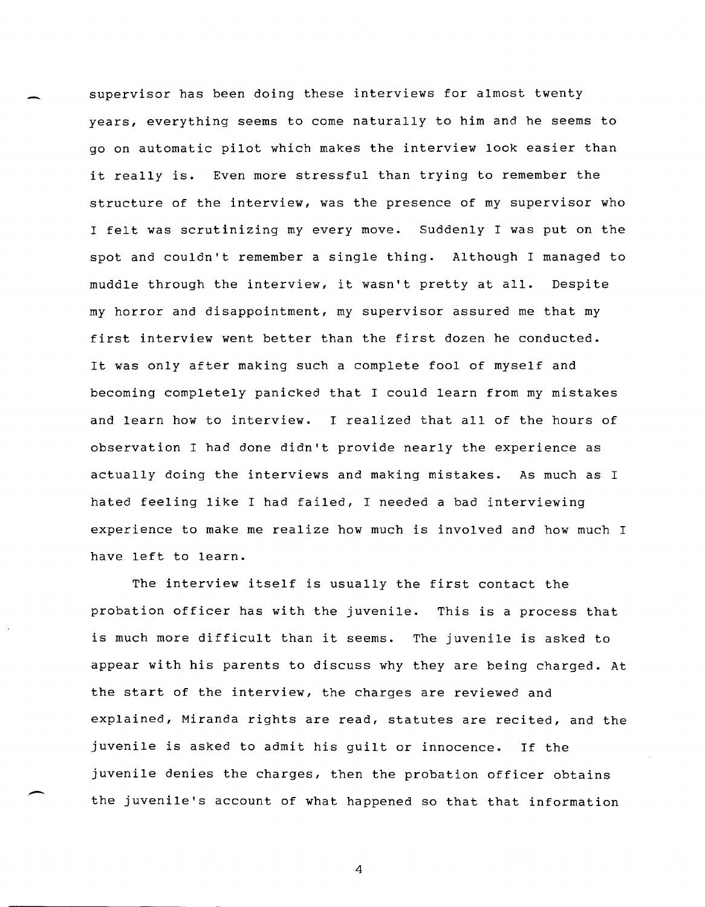supervisor has been doing these interviews for almost twenty years, everything seems to come naturally to him and he seems to go on automatic pilot which makes the interview look easier than it really is. Even more stressful than trying to remember the structure of the interview, was the presence of my supervisor who I felt was scrutinizing my every move. Suddenly I was put on the spot and couldn't remember a single thing. Although I managed to muddle through the interview, it wasn't pretty at all. Despite my horror and disappointment, my supervisor assured me that my first interview went better than the first dozen he conducted. It was only after making such a complete fool of myself and becoming completely panicked that I could learn from my mistakes and learn how to interview. I realized that all of the hours of observation I had done didn't provide nearly the experience as actually doing the interviews and making mistakes. As much as I hated feeling like I had failed, I needed a bad interviewing experience to make me realize how much is involved and how much I have left to learn.

The interview itself is usually the first contact the probation officer has with the juvenile. This is a process that is much more difficult than it seems. The juvenile is asked to appear with his parents to discuss why they are being charged. At the start of the interview, the charges are reviewed and explained, Miranda rights are read, statutes are recited, and the juvenile is asked to admit his guilt or innocence. If the juvenile denies the charges, then the probation officer obtains the juvenile's account of what happened so that that information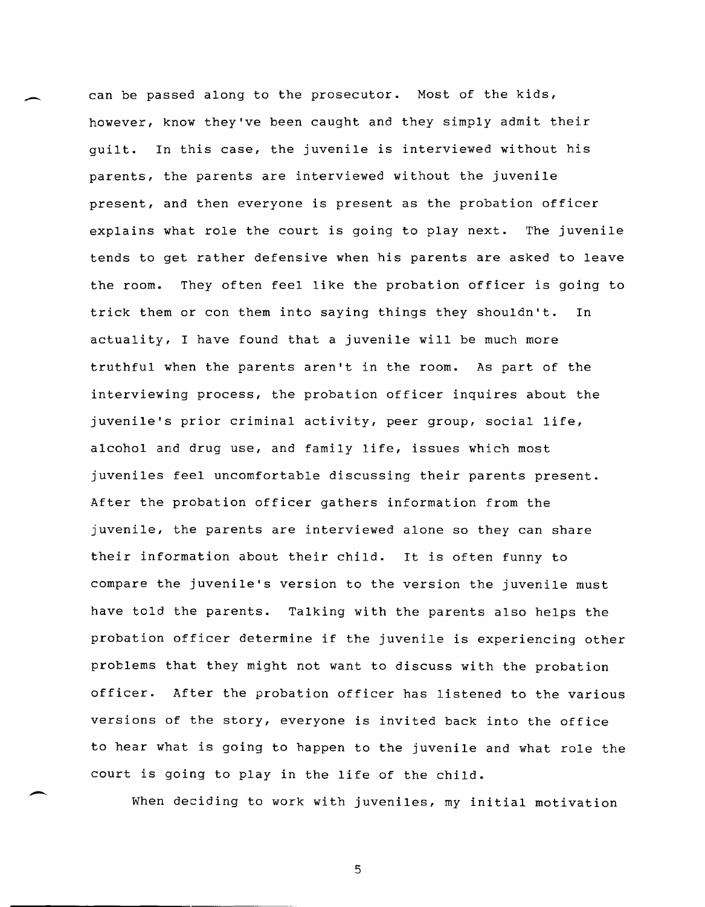can be passed along to the prosecutor. Most of the kids, however, know they've been caught and they simply admit their guilt. In this case, the juvenile is interviewed without his parents, the parents are interviewed without the juvenile present, and then everyone is present as the probation officer explains what role the court is going to play next. The juvenile tends to get rather defensive when his parents are asked to leave the room. They often feel like the probation officer is going to trick them or con them into saying things they shouldn't. In actuality, I have found that a juvenile will be much more truthful when the parents aren't in the room. As part of the interviewing process, the probation officer inquires about the juvenile's prior criminal activity, peer group, social life, alcohol and drug use, and family life, issues which most juveniles feel uncomfortable discussing their parents present. After the probation officer gathers information from the juvenile, the parents are interviewed alone so they can share their information about their child. It is often funny to compare the juvenile's version to the version the juvenile must have told the parents. Talking with the parents also helps the probation officer determine if the juvenile is experiencing other problems that they might not want to discuss with the probation officer. After the probation officer has listened to the various versions of the story, everyone is invited back into the office to hear what is going to happen to the juvenile and what role the court is going to play in the life of the child.

When deciding to work with juveniles, my initial motivation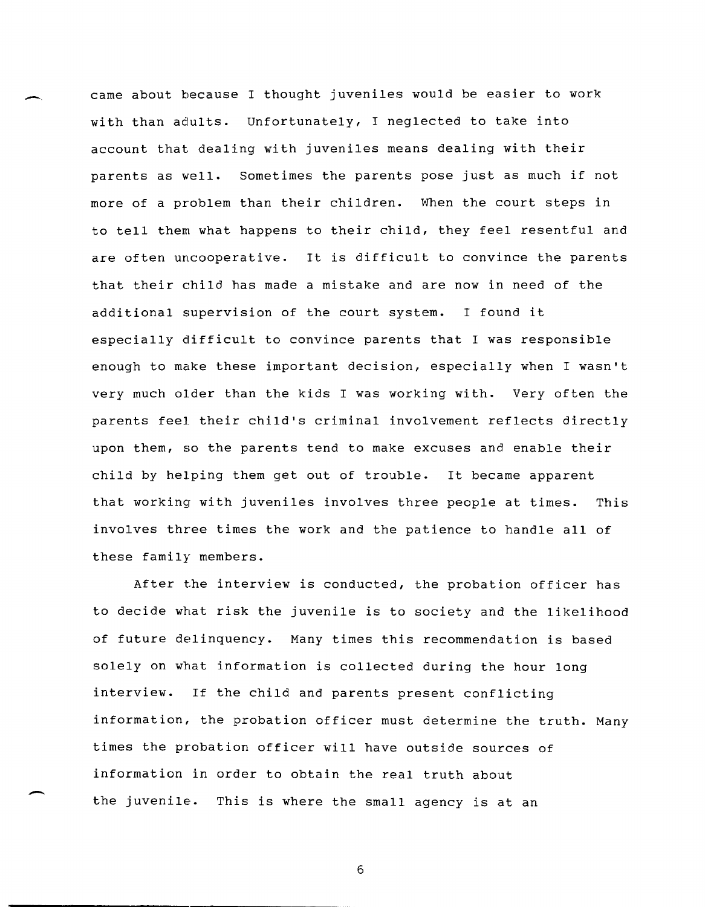came about because I thought juveniles would be easier to work with than adults. Unfortunately, I neglected to take into account that dealing with juveniles means dealing with their parents as well. sometimes the parents pose just as much if not more of a problem than their children. When the court steps in to tell them what happens to their child, they feel resentful and are often uncooperative. It is difficult to convince the parents that their child has made a mistake and are now in need of the additional supervision of the court system. I found it especially difficult to convince parents that I was responsible enough to make these important decision, especially when I wasn't very much older than the kids I was working with. Very often the parents feel their child's criminal involvement reflects directly upon them, so the parents tend to make excuses and enable their child by helping them get out of trouble. It became apparent that working with juveniles involves three people at times. This involves three times the work and the patience to handle all of these family members.

After the interview is conducted, the probation officer has to decide what risk the juvenile is to society and the likelihood of future delinquency. Many times this recommendation is based solely on what information is collected during the hour long interview. If the child and parents present conflicting information, the probation officer must determine the truth. Many times the probation officer will have outside sources of information in order to obtain the real truth about the juvenile. This is where the small agency is at an

6

-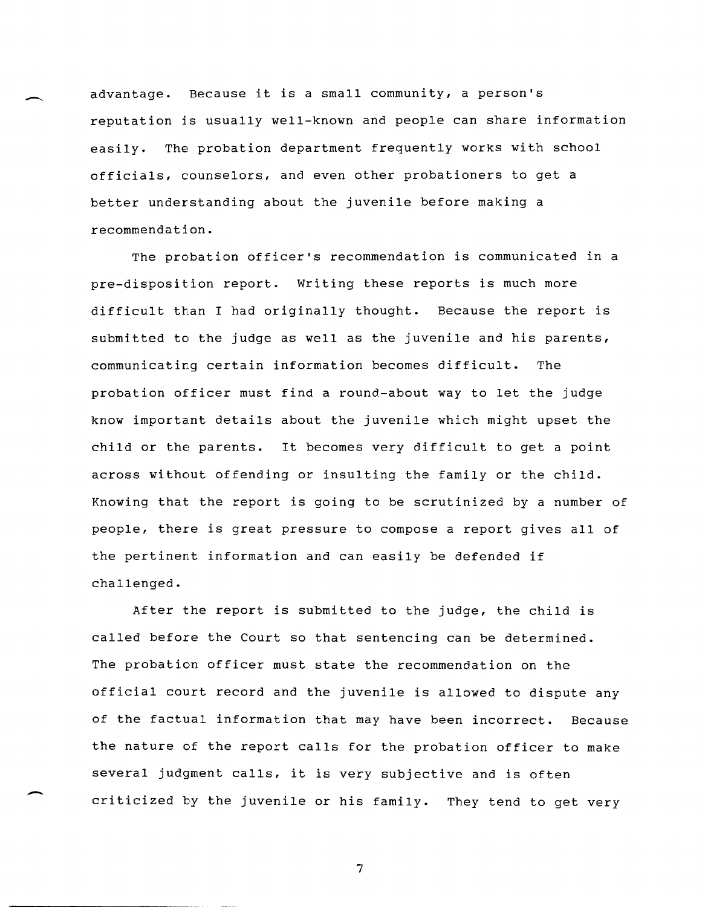advantage. Because it is a small community, a person's reputation is usually well-known and people can share information easily. The probation department frequently works with school officials, counselors, and even other probationers to get a better understanding about the juvenile before making a recommendation.

The probation officer's recommendation is communicated in a pre-disposition report. Writing these reports is much more difficult than I had originally thought. Because the report is submitted to the judge as well as the juvenile and his parents, communicating certain information becomes difficult. The probation officer must find a round-about way to let the judge know important details about the juvenile which might upset the child or the parents. It becomes very difficult to get a point across without offending or insulting the family or the child. Knowing that the report is going to be scrutinized by a number of people, there is great pressure to compose a report gives all of the pertinent information and can easily be defended if challenged.

After the report is submitted to the judge, the child is called before the Court so that sentencing can be determined. The probation officer must state the recommendation on the official court record and the juvenile is allowed to dispute any of the factual information that may have been incorrect. Because the nature of the report calls for the probation officer to make several judgment calls, it is very subjective and is often criticized by the juvenile or his family. They tend to get very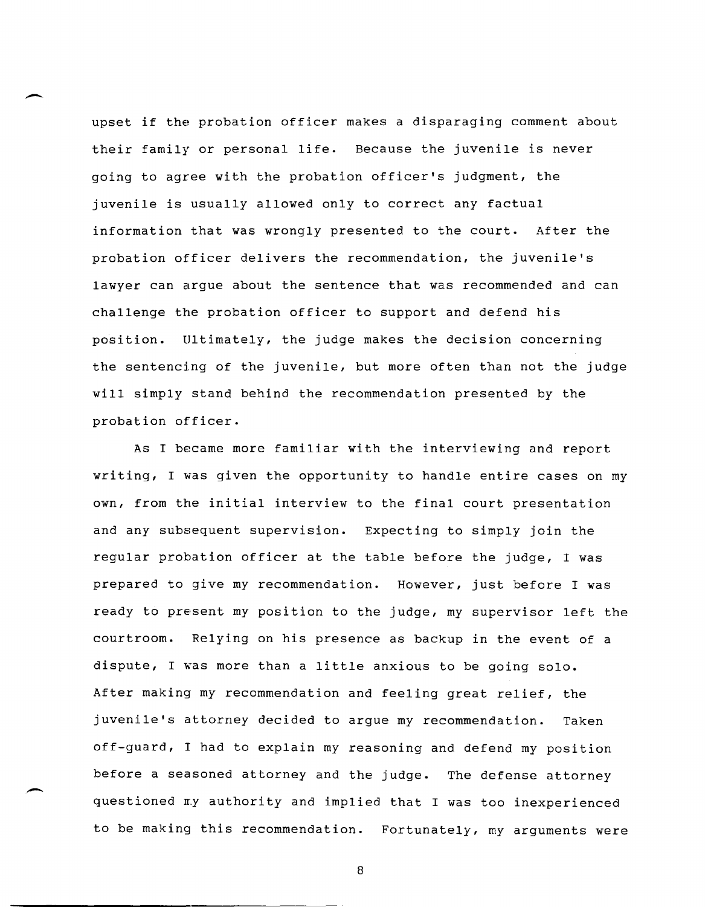upset if the probation officer makes a disparaging comment about their family or personal life. Because the juvenile is never going to agree with the probation officer's judgment, the juvenile is usually allowed only to correct any factual information that was wrongly presented to the court. After the probation officer delivers the recommendation, the juvenile's lawyer can argue about the sentence that was recommended and can challenge the probation officer to support and defend his position. Ultimately, the judge makes the decision concerning the sentencing of the juvenile, but more often than not the judge will simply stand behind the recommendation presented by the probation officer.

As I became more familiar with the interviewing and report writing, I was given the opportunity to handle entire cases on my own, from the initial interview to the final court presentation and any subsequent supervision. Expecting to simply join the regular probation officer at the table before the judge, I was prepared to give my recommendation. However, just before I was ready to present my position to the judge, my supervisor left the courtroom. Relying on his presence as backup in the event of a dispute, I was more than a little anxious to be going solo. After making my recommendation and feeling great relief, the juvenile's attorney decided to argue my recommendation. Taken off-guard, I had to explain my reasoning and defend my position before a seasoned attorney and the judge. The defense attorney questioned my authority and implied that I was too inexperienced to be making this recommendation. Fortunately, my arguments were

8

.-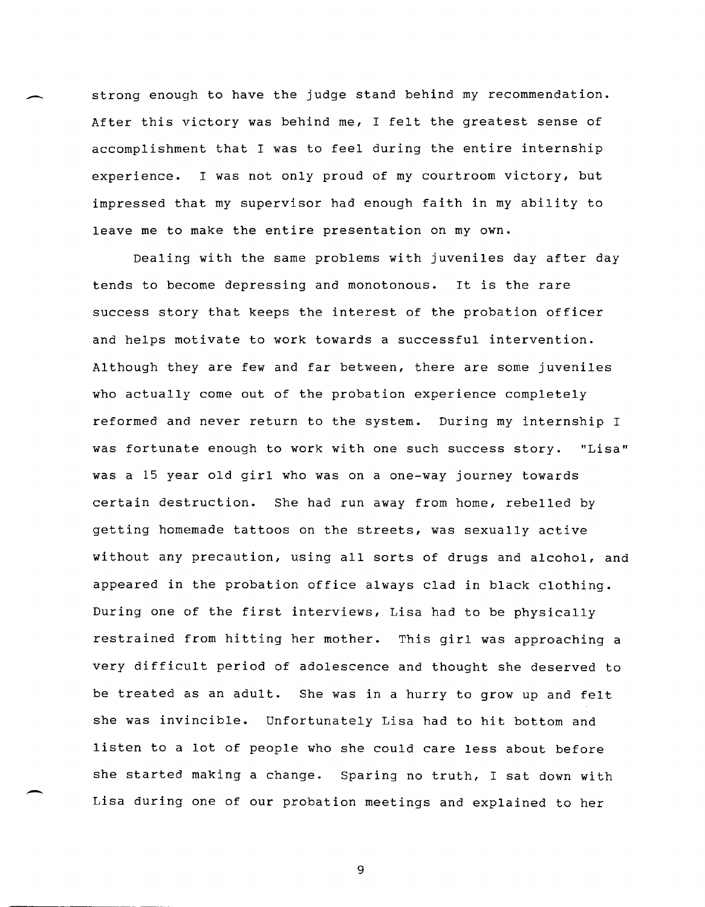strong enough to have the judge stand behind my recommendation. After this victory was behind me, I felt the greatest sense of accomplishment that I was to feel during the entire internship experience. I was not only proud of my courtroom victory, but impressed that my supervisor had enough faith in my ability to leave me to make the entire presentation on my own.

-.

-

Dealing with the same problems with juveniles day after day tends to become depressing and monotonous. It is the rare success story that keeps the interest of the probation officer and helps motivate to work towards a successful intervention. Although they are few and far between, there are some juveniles who actually come out of the probation experience completely reformed and never return to the system. During my internship I was fortunate enough to work with one such success story. "Lisa" was a 15 year old girl who was on a one-way journey towards certain destruction. She had run away from home, rebelled by getting homemade tattoos on the streets, was sexually active without any precaution, using all sorts of drugs and alcohol, and appeared in the probation office always clad in black clothing. During one of the first interviews, Lisa had to be physically restrained from hitting her mother. This girl was approaching a very difficult period of adolescence and thought she deserved to be treated as an adult. She was in a hurry to grow up and felt she was invincible. Unfortunately Lisa had to hit bottom and listen to a lot of people who she could care less about before she started making a change. Sparing no truth, I sat down with Lisa during one of our probation meetings and explained to her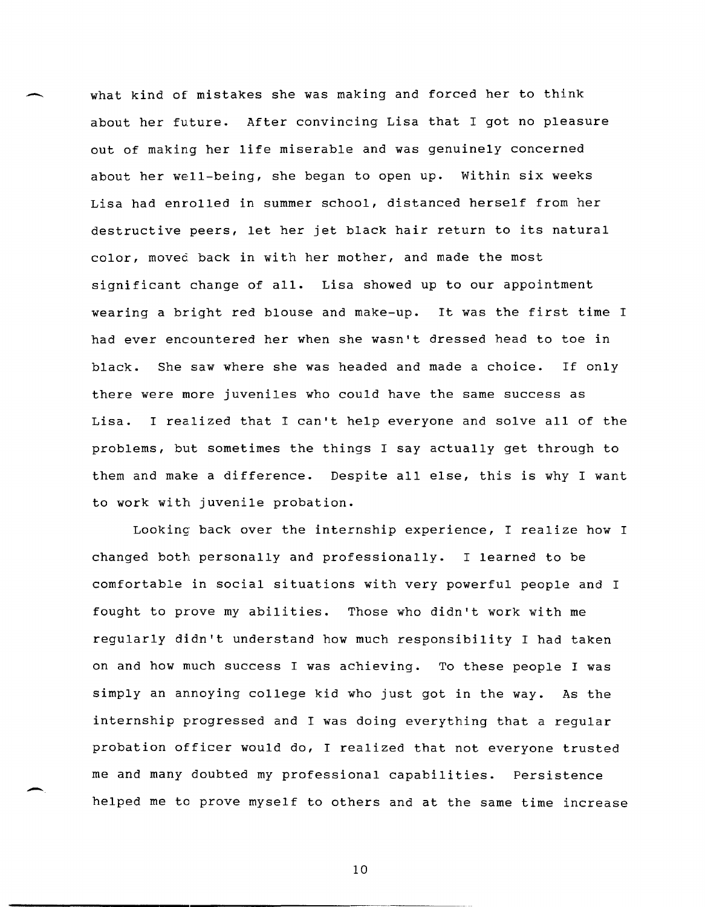what kind of mistakes she was making and forced her to think about her future. After convincing Lisa that I got no pleasure out of making her life miserable and was genuinely concerned about her well-being, she began to open up. Within six weeks Lisa had enrolled in summer school, distanced herself from her destructive peers, let her jet black hair return to its natural color, moved back in with her mother, and made the most significant change of all. Lisa showed up to our appointment wearing a bright red blouse and make-up. It was the first time I had ever encountered her when she wasn't dressed head to toe in black. She saw where she was headed and made a choice. If only there were more juveniles who could have the same success as Lisa. I realized that I can't help everyone and solve all of the problems, but sometimes the things I say actually get through to them and make a difference. Despite all else, this is why I want to work with juvenile probation.

Looking back over the internship experience, I realize how I changed both personally and professionally. I learned to be comfortable in social situations with very powerful people and I fought to prove my abilities. Those who didn't work with me regularly didn't understand how much responsibility I had taken on and how much success I was achieving. To these people I was simply an annoying college kid who just got in the way. As the internship progressed and I was doing everything that a regular probation officer would do, I realized that not everyone trusted me and many doubted my professional capabilities. Persistence helped me to prove myself to others and at the same time increase

10

-.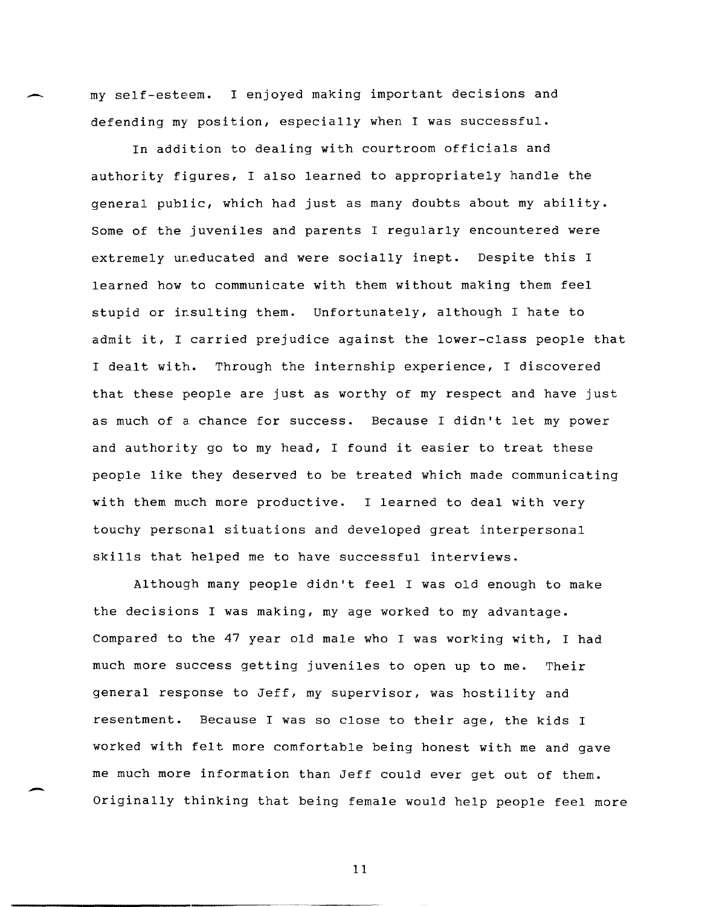my self-esteem. I enjoyed making important decisions and defending my position, especially when I was successful.

In addition to dealing with courtroom officials and authority figures, I also learned to appropriately handle the general public, which had just as many doubts about my ability. Some of the juveniles and parents I regularly encountered were extremely uneducated and were socially inept. Despite this I learned how to communicate with them without making them feel stupid or insulting them. Unfortunately, although I hate to admit it, I carried prejudice against the lower-class people that I dealt with. Through the internship experience, I discovered that these people are just as worthy of my respect and have just as much of a chance for success. Because I didn't let my power and authority go to my head, I found it easier to treat these people like they deserved to be treated which made communicating with them much more productive. I learned to deal with very touchy personal situations and developed great interpersonal skills that helped me to have successful interviews.

Although many people didn't feel I was old enough to make the decisions I was making, my age worked to my advantage. Compared to the 47 year old male who I was working with, I had much more success getting juveniles to open up to me. Their general response to Jeff, my supervisor, was hostility and resentment. Because I was so close to their age, the kids I worked with felt more comfortable being honest with me and gave me much more information than Jeff could ever get out of them. Originally thinking that being female would help people feel more

~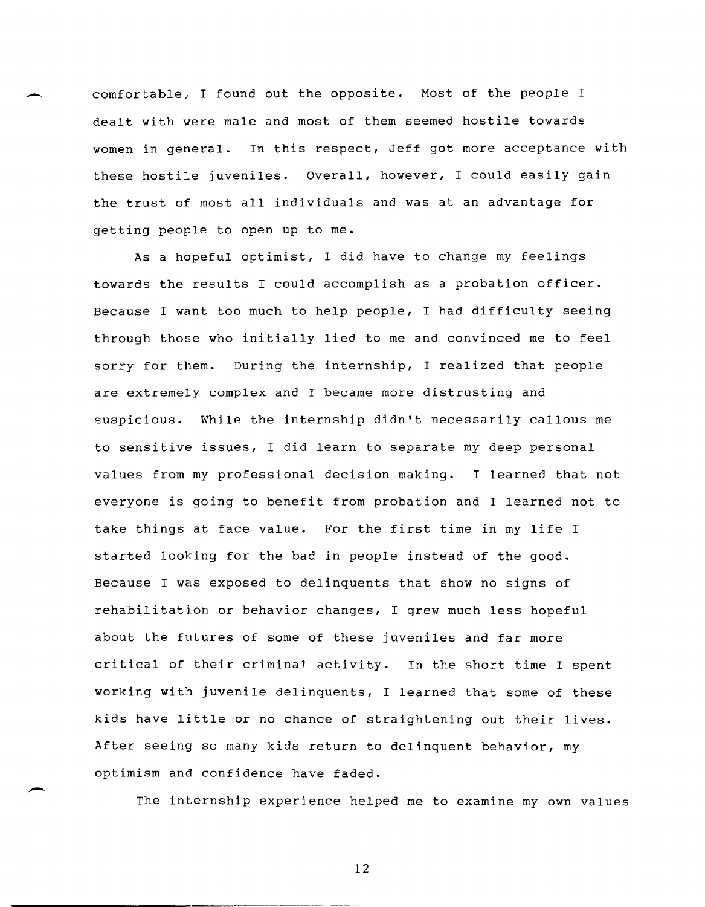comfortable, I found out the opposite. Most of the people I dealt with were male and most of them seemed hostile towards women in general. In this respect, Jeff got more acceptance with these hostile juveniles. Overall, however, I could easily gain the trust of most all individuals and was at an advantage for getting people to open up to me.

As a hopeful optimist, I did have to change my feelings towards the results I could accomplish as a probation officer. Because I want too much to help people, I had difficulty seeing through those who initially lied to me and convinced me to feel sorry for them. During the internship, I realized that people are extremely complex and I became more distrusting and suspicious. While the internship didn't necessarily callous me to sensitive issues, I did learn to separate my deep personal values from my professional decision making. I learned that not everyone is going to benefit from probation and I learned not to take things at face value. For the first time in my life I started looking for the bad in people instead of the good. Because I was exposed to delinquents that show no signs of rehabilitation or behavior changes, I grew much less hopeful about the futures of some of these juveniles and far more critical of their criminal activity. In the short time I spent working with juvenile delinquents, I learned that some of these kids have little or no chance of straightening out their lives. After seeing so many kids return to delinquent behavior, my optimism and confidence have faded.

The internship experience helped me to examine my own values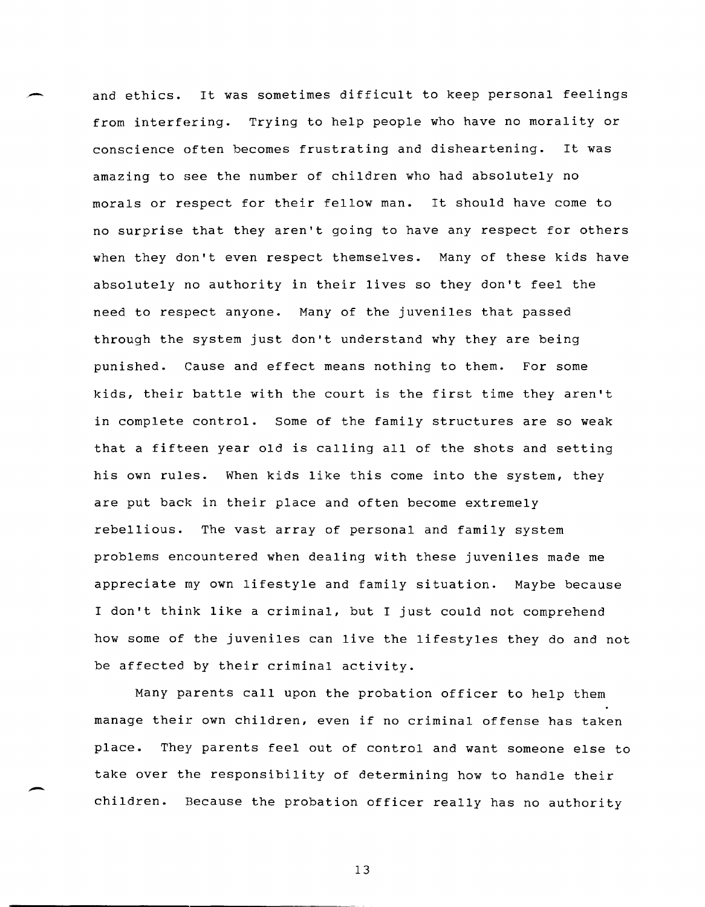and ethics. It was sometimes difficult to keep personal feelings from interfering. Trying to help people who have no morality or conscience often becomes frustrating and disheartening. It was amazing to see the number of children who had absolutely no morals or respect for their fellow man. It should have come to no surprise that they aren't going to have any respect for others when they don't even respect themselves. Many of these kids have absolutely no authority in their lives so they don't feel the need to respect anyone. Many of the juveniles that passed through the system just don't understand why they are being punished. Cause and effect means nothing to them. For some kids, their battle with the court is the first time they aren't in complete control. Some of the family structures are so weak that a fifteen year old is calling all of the shots and setting his own rules. When kids like this come into the system, they are put back in their place and often become extremely rebellious. The vast array of personal and family system problems encountered when dealing with these juveniles made me appreciate my own lifestyle and family situation. Maybe because I don't think like a criminal, but I just could not comprehend how some of the juveniles can live the lifestyles they do and not be affected by their criminal activity.

,-

-

Many parents call upon the probation officer to help them manage their own children, even if no criminal offense has taken place. They parents feel out of control and want someone else to take over the responsibility of determining how to handle their children. Because the probation officer really has no authority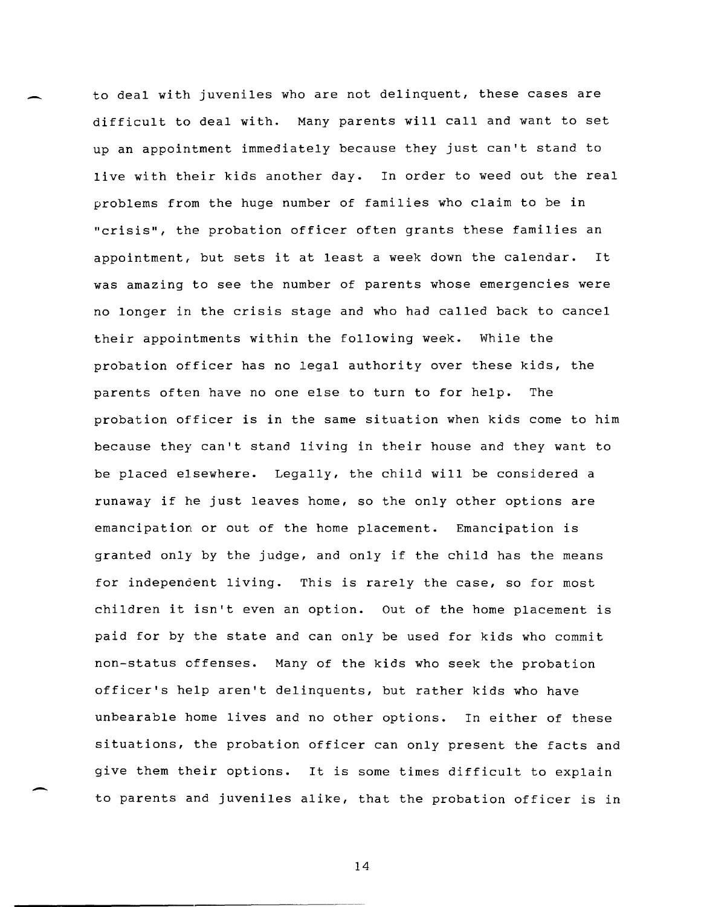to deal with juveniles who are not delinquent, these cases are difficult to deal with. Many parents will call and want to set up an appointment immediately because they just can't stand to live with their kids another day. In order to weed out the real problems from the huge number of families who claim to be in "crisis", the probation officer often grants these families an appointment, but sets it at least a week down the calendar. It was amazing to see the number of parents whose emergencies were no longer in the crisis stage and who had called back to cancel their appointments within the following week. While the probation officer has no legal authority over these kids, the parents often have no one else to turn to for help. The probation officer is in the same situation when kids come to him because they can't stand living in their house and they want to be placed elsewhere. Legally, the child will be considered a runaway if he just leaves home, so the only other options are emancipation or out of the home placement. Emancipation is granted only by the judge, and only if the child has the means for independent living. This is rarely the case, so for most children it isn't even an option. Out of the home placement is paid for by the state and can only be used for kids who commit non-status offenses. Many of the kids who seek the probation officer's help aren't delinquents, but rather kids who have unbearable home lives and no other options. In either of these situations, the probation officer can only present the facts and give them their options. It is some times difficult to explain to parents and juveniles alike, that the probation officer is in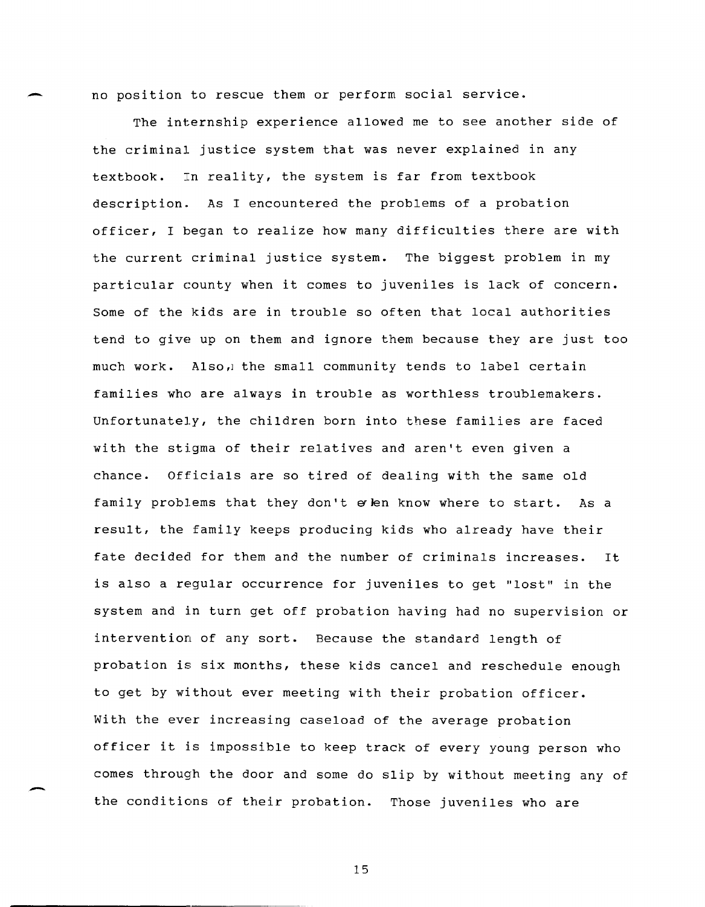no position to rescue them or perform social service.

The internship experience allowed me to see another side of the criminal justice system that was never explained in any textbook. In reality, the system is far from textbook description. As I encountered the problems of a probation officer, I began to realize how many difficulties there are with the current criminal justice system. The biggest problem in my particular county when it comes to juveniles is lack of concern. Some of the kids are in trouble so often that local authorities tend to give up on them and ignore them because they are just too much work. Also, the small community tends to label certain families who are always in trouble as worthless troublemakers. Unfortunately, the children born into these families are faced with the stigma of their relatives and aren't even given a chance. Officials are so tired of dealing with the same old family problems that they don't e len know where to start. As a result, the family keeps producing kids who already have their fate decided for them and the number of criminals increases. It is also a regular occurrence for juveniles to get "lost" in the system and in turn get off probation having had no supervision or intervention of any sort. Because the standard length of probation is six months, these kids cancel and reschedule enough to get by without ever meeting with their probation officer. With the ever increasing caseload of the average probation officer it is impossible to keep track of every young person who comes through the door and some do slip by without meeting any of the conditions of their probation. Those juveniles who are

15

--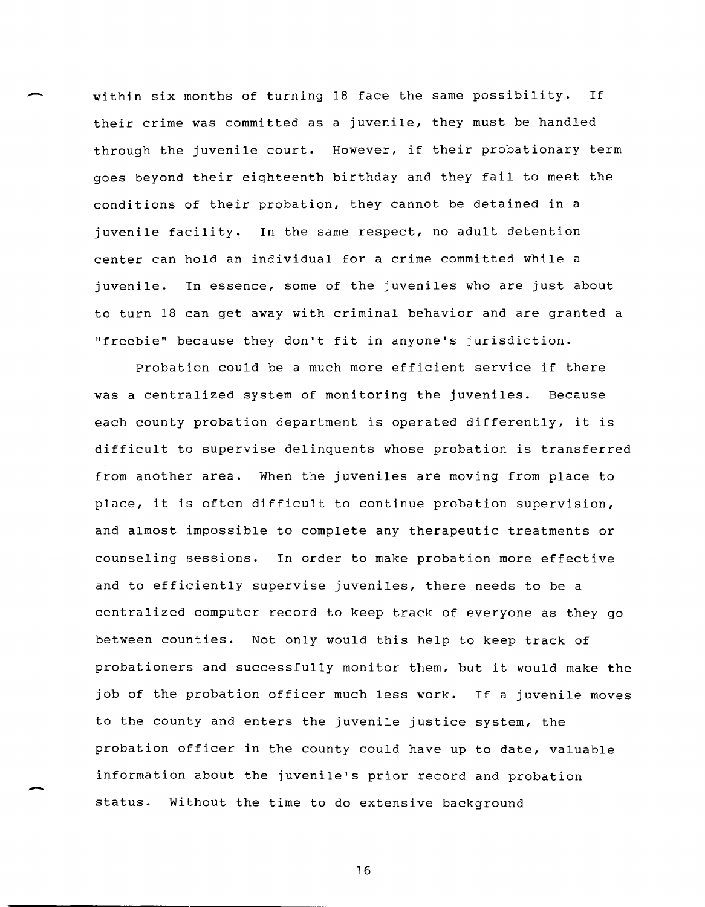within six months of turning 18 face the same possibility. If their crime was committed as a juvenile, they must be handled through the juvenile court. However, if their probationary term goes beyond their eighteenth birthday and they fail to meet the conditions of their probation, they cannot be detained in a juvenile facility. In the same respect, no adult detention center can hold an individual for a crime committed while a juvenile. Tn essence, some of the juveniles who are just about to turn 18 can get away with criminal behavior and are granted a "freebie" because they don't fit in anyone's jurisdiction.

Probation could be a much more efficient service if there was a centralized system of monitoring the juveniles. Because each county probation department is operated differently, it is difficult to supervise delinquents whose probation is transferred from another area. When the juveniles are moving from place to place, it is often difficult to continue probation supervision, and almost impossible to complete any therapeutic treatments or counseling sessions. In order to make probation more effective and to efficiently supervise juveniles, there needs to be a centralized computer record to keep track of everyone as they go between counties. Not only would this help to keep track of probationers and successfully monitor them, but it would make the job of the probation officer much less work. If a juvenile moves to the county and enters the juvenile justice system, the probation officer in the county could have up to date, valuable information about the juvenile's prior record and probation status. without the time to do extensive background

16

-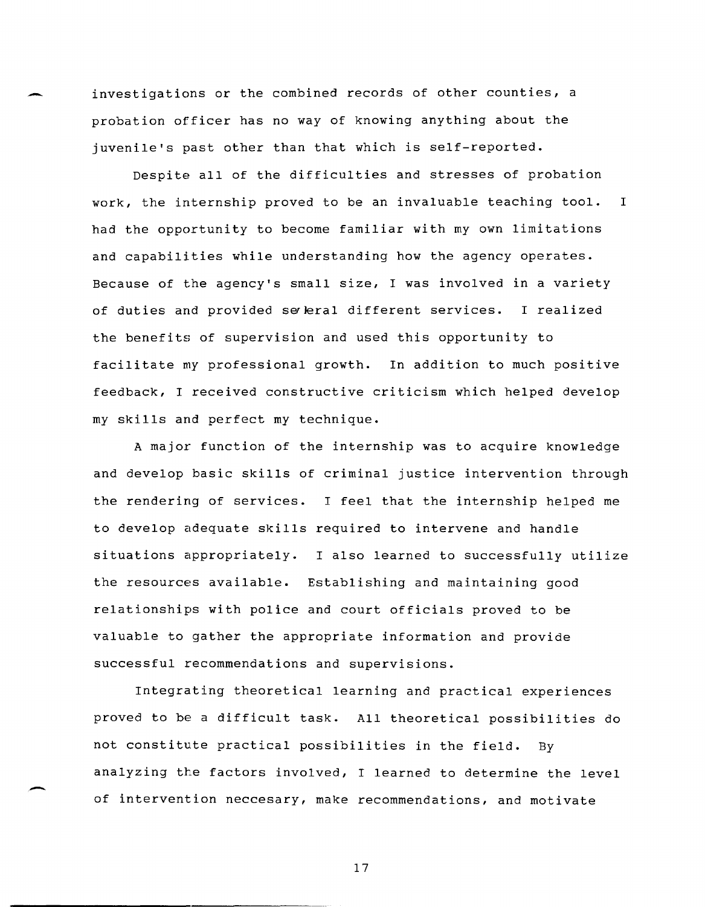investigations or the combined records of other counties, a probation officer has no way of knowing anything about the juvenile's past other than that which is self-reported.

Despite all of the difficulties and stresses of probation work, the internship proved to be an invaluable teaching tool. I had the opportunity to become familiar with my own limitations and capabilities while understanding how the agency operates. Because of the agency's small size, I was involved in a variety of duties and provided seleral different services. I realized the benefits of supervision and used this opportunity to facilitate my professional growth. In addition to much positive feedback, I received constructive criticism which helped develop my skills and perfect my technique.

A major function of the internship was to acquire knowledge and develop basic skills of criminal justice intervention through the rendering of services. I feel that the internship helped me to develop adequate skills required to intervene and handle situations appropriately. I also learned to successfully utilize the resources available. Establishing and maintaining good relationships with police and court officials proved to be valuable to gather the appropriate information and provide successful recommendations and supervisions.

Integrating theoretical learning and practical experiences proved to be a difficult task. All theoretical possibilities do not constitute practical possibilities in the field. By analyzing the factors involved, I learned to determine the level of intervention neccesary, make recommendations, and motivate

.-